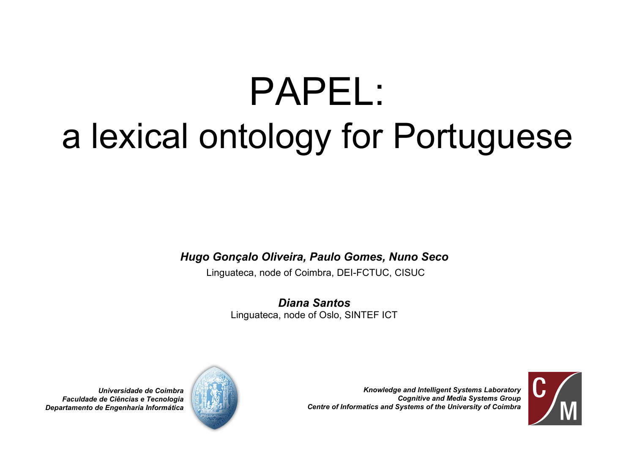# PAPEL: a lexical ontology for Portuguese

*Hugo Gonçalo Oliveira, Paulo Gomes, Nuno Seco*

Linguateca, node of Coimbra, DEI-FCTUC, CISUC

*Diana Santos* Linguateca, node of Oslo, SINTEF ICT



*Knowledge and Intelligent Systems Laboratory Cognitive and Media Systems Group Centre of Informatics and Systems of the University of Coimbra*

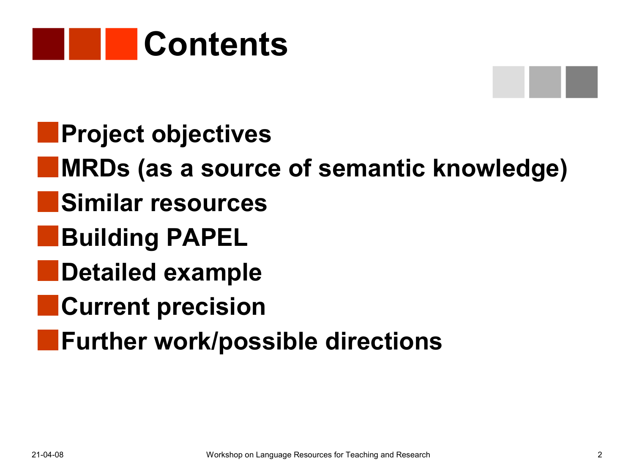

- **Project objectives**
- **MRDs (as a source of semantic knowledge)**
- **Similar resources**
- **Building PAPEL**
- **Detailed example**
- **Current precision**
- **Further work/possible directions**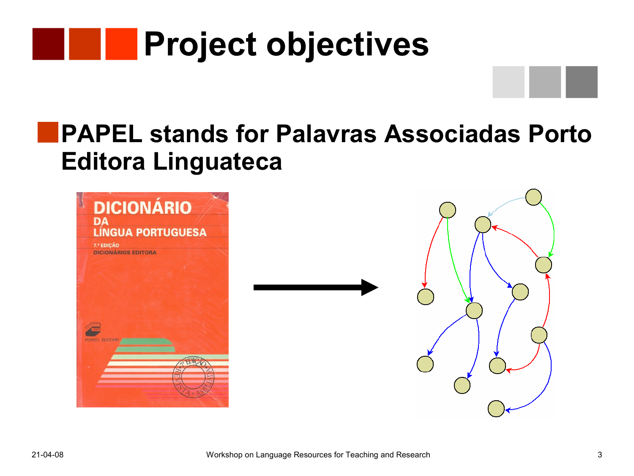

#### **PAPEL stands for Palavras Associadas Porto Editora Linguateca**

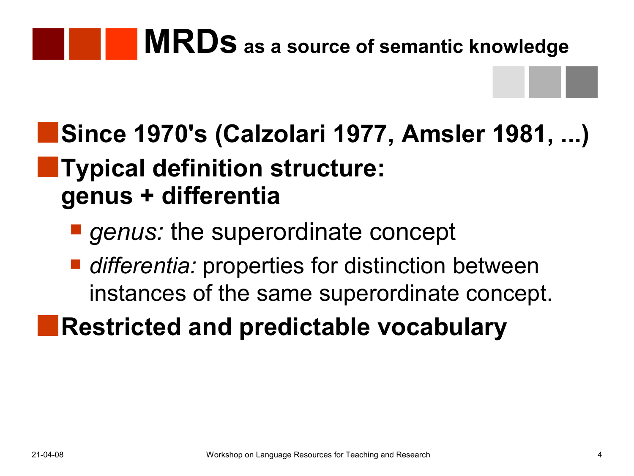### **MRDs as a source of semantic knowledge**

### **Since 1970's (Calzolari 1977, Amsler 1981, ...) Typical definition structure: genus + differentia**

- *genus:* the superordinate concept
- *differentia:* properties for distinction between instances of the same superordinate concept.

### **Restricted and predictable vocabulary**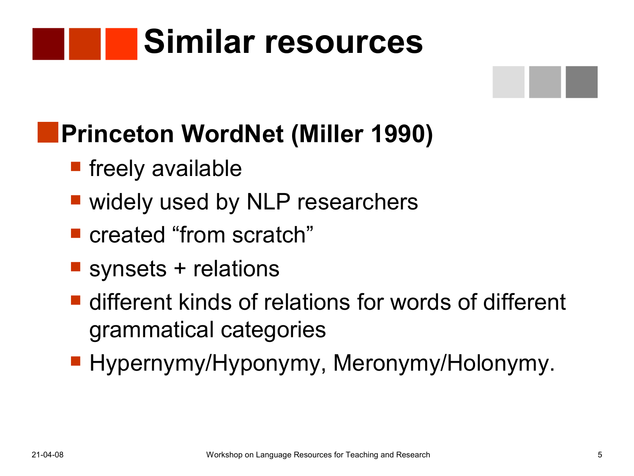# **Similar resources**

### **Princeton WordNet (Miller 1990)**

- **Filterally available**
- widely used by NLP researchers
- created "from scratch"
- **Synsets + relations**
- **E** different kinds of relations for words of different grammatical categories
- **Hypernymy/Hyponymy, Meronymy/Holonymy.**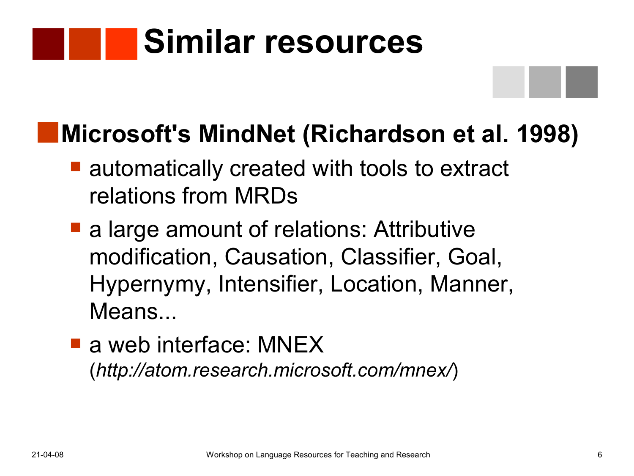# **Similar resources**

#### **Microsoft's MindNet (Richardson et al. 1998)**

- **E** automatically created with tools to extract relations from MRDs
- a large amount of relations: Attributive modification, Causation, Classifier, Goal, Hypernymy, Intensifier, Location, Manner, Means...
- **a** web interface: MNEX (*http://atom.research.microsoft.com/mnex/*)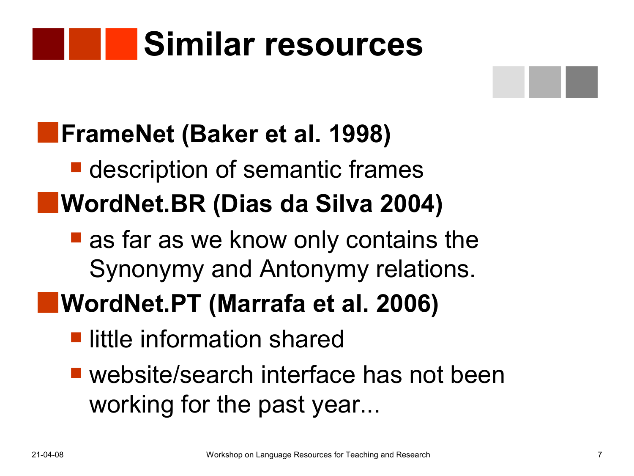# **Similar resources**

### **FrameNet (Baker et al. 1998)**

- **description of semantic frames WordNet.BR (Dias da Silva 2004)**
	- as far as we know only contains the Synonymy and Antonymy relations.

### **WordNet.PT (Marrafa et al. 2006)**

- **L** little information shared
- website/search interface has not been working for the past year...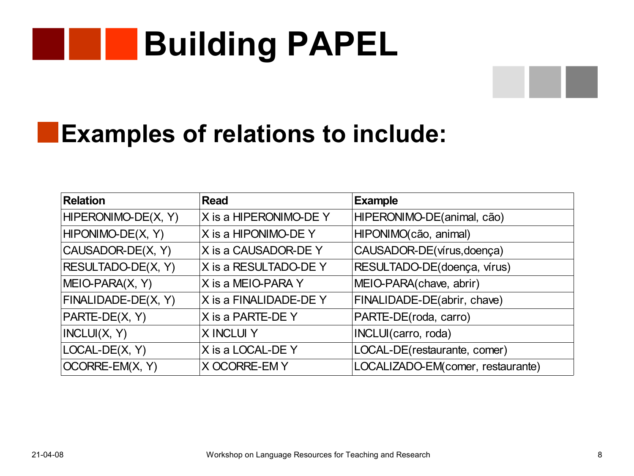#### **Building PAPEL** a pro



#### **Examples of relations to include:**

| <b>Relation</b>     | <b>Read</b>            | <b>Example</b>                    |  |
|---------------------|------------------------|-----------------------------------|--|
| HIPERONIMO-DE(X, Y) | X is a HIPERONIMO-DE Y | HIPERONIMO-DE(animal, cão)        |  |
| HIPONIMO-DE(X, Y)   | X is a HIPONIMO-DE Y   | HIPONIMO(cão, animal)             |  |
| CAUSADOR-DE(X, Y)   | X is a CAUSADOR-DE Y   | CAUSADOR-DE(vírus, doença)        |  |
| RESULTADO-DE(X, Y)  | X is a RESULTADO-DE Y  | RESULTADO-DE(doença, vírus)       |  |
| MEIO-PARA(X, Y)     | X is a MEIO-PARA Y     | MEIO-PARA(chave, abrir)           |  |
| FINALIDADE-DE(X, Y) | X is a FINALIDADE-DEY  | FINALIDADE-DE(abrir, chave)       |  |
| PARTE-DE(X, Y)      | X is a PARTE-DE Y      | PARTE-DE(roda, carro)             |  |
| INCLUI(X, Y)        | <b>X INCLUI Y</b>      | INCLUI(carro, roda)               |  |
| LOCAL-DE(X, Y)      | X is a LOCAL-DE Y      | LOCAL-DE(restaurante, comer)      |  |
| OCORRE-EM(X, Y)     | <b>X OCORRE-EMY</b>    | LOCALIZADO-EM(comer, restaurante) |  |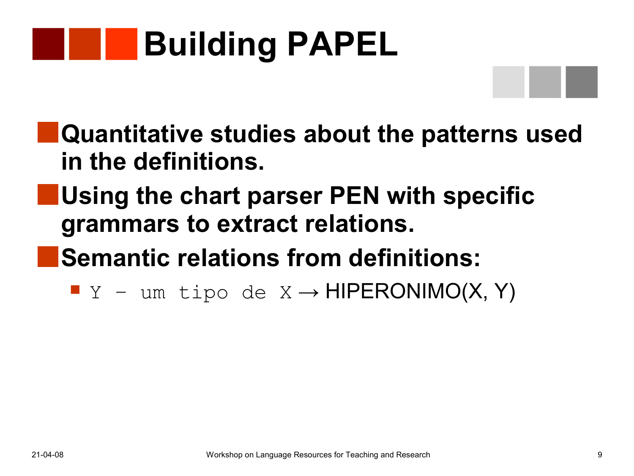# **Building PAPEL**

- **Quantitative studies about the patterns used in the definitions.**
- **Using the chart parser PEN with specific grammars to extract relations.**
- **Semantic relations from definitions:**
	- $Y -$ um tipo de X → HIPERONIMO(X, Y)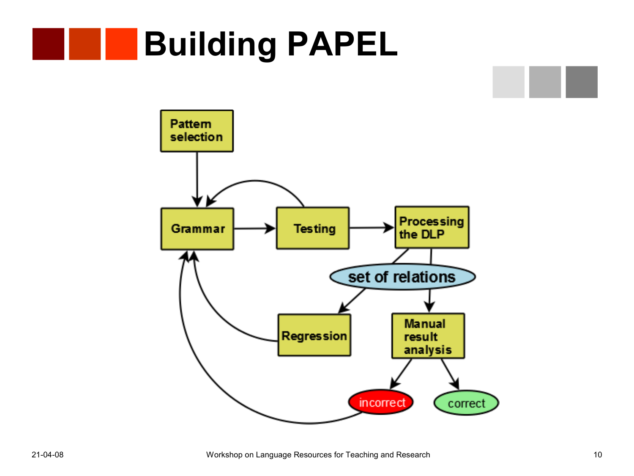## **Building PAPEL**

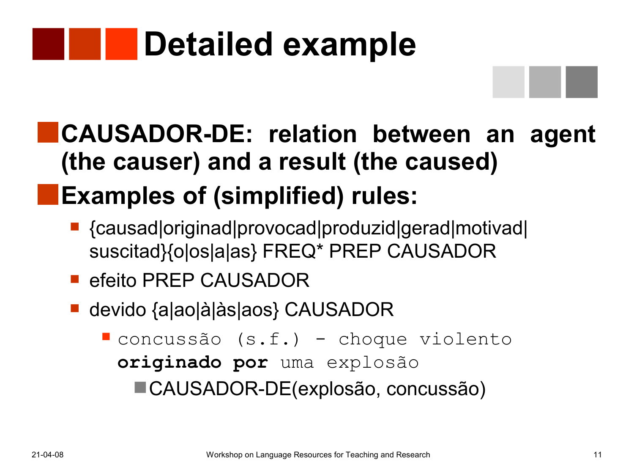# **Detailed example**

### **CAUSADOR-DE: relation between an agent (the causer) and a result (the caused)**

### **Examples of (simplified) rules:**

- {causad|originad|provocad|produzid|gerad|motivad| suscitad}{o|os|a|as} FREQ\* PREP CAUSADOR
- **E** efeito PREP CAUSADOR
- devido {a|ao|à|às|aos} CAUSADOR

 concussão (s.f.) - choque violento **originado por** uma explosão CAUSADOR-DE(explosão, concussão)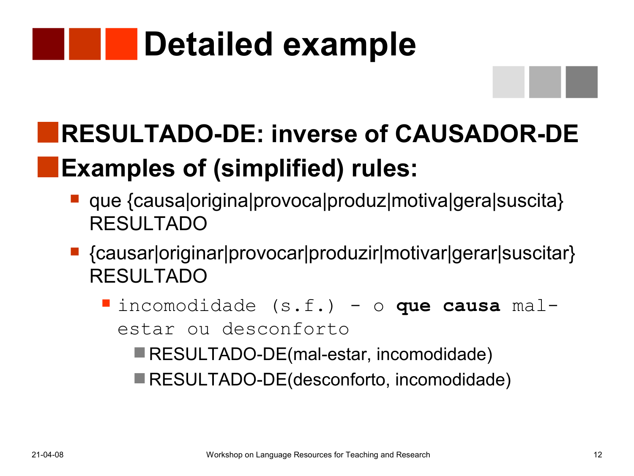# **Detailed example**

### **RESULTADO-DE: inverse of CAUSADOR-DE Examples of (simplified) rules:**

- que {causa|origina|provoca|produz|motiva|gera|suscita} RESULTADO
- {causar|originar|provocar|produzir|motivar|gerar|suscitar} RESULTADO
	- incomodidade (s.f.) o **que causa** malestar ou desconforto
		- RESULTADO-DE(mal-estar, incomodidade)
		- RESULTADO-DE(desconforto, incomodidade)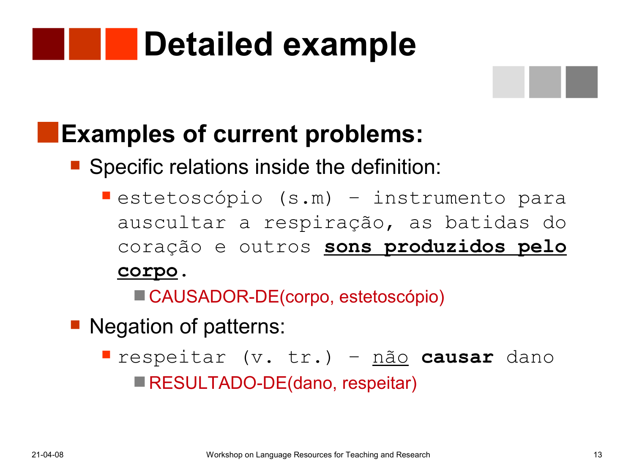# **Detailed example**

#### **Examples of current problems:**

**Specific relations inside the definition:** 

estetoscópio (s.m) - instrumento para auscultar a respiração, as batidas do coração e outros **sons produzidos pelo corpo.**

■ CAUSADOR-DE(corpo, estetoscópio)

■ Negation of patterns:

 respeitar (v. tr.) – não **causar** dano **RESULTADO-DE(dano, respeitar)**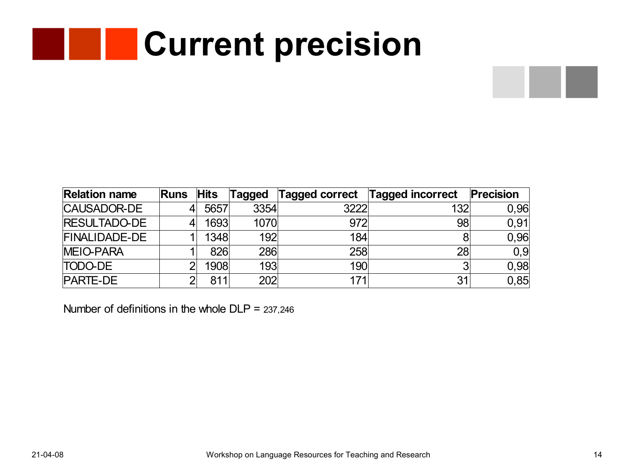# **Current precision**

| <b>Relation name</b> | Runs | <b>Hits</b> | Tagged | Tagged correct | <b>Tagged incorrect</b> | Precision |
|----------------------|------|-------------|--------|----------------|-------------------------|-----------|
| <b>CAUSADOR-DE</b>   |      | 5657        | 3354   | 3222           | 132                     | 0,96      |
| <b>RESULTADO-DE</b>  |      | 1693        | 1070   | 972            | 98                      | 0,91      |
| <b>FINALIDADE-DE</b> |      | 1348        | 192    | 184            | 8                       | 0,96      |
| <b>MEIO-PARA</b>     |      | 826         | 286    | 258            | 28                      | 0,9       |
| <b>TODO-DE</b>       |      | 1908        | 193    | 190            | -21                     | 0,98      |
| <b>PARTE-DE</b>      |      | 811         | 202    | 171            | 31                      | 0,85      |

Number of definitions in the whole DLP = 237,246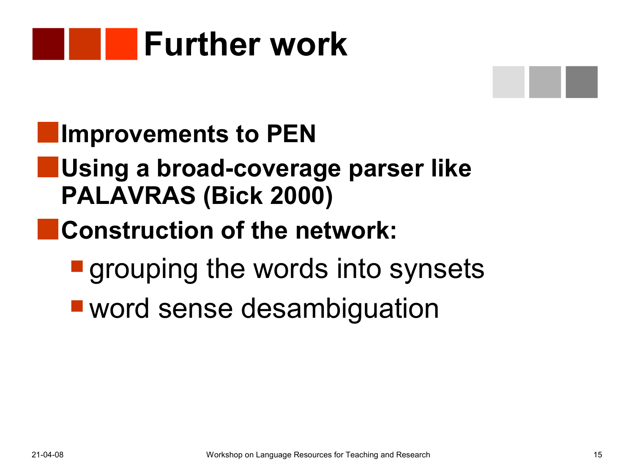



#### **Improvements to PEN**

#### **Using a broad-coverage parser like PALAVRAS (Bick 2000)**

#### **Construction of the network:**

- **qrouping the words into synsets**
- word sense desambiguation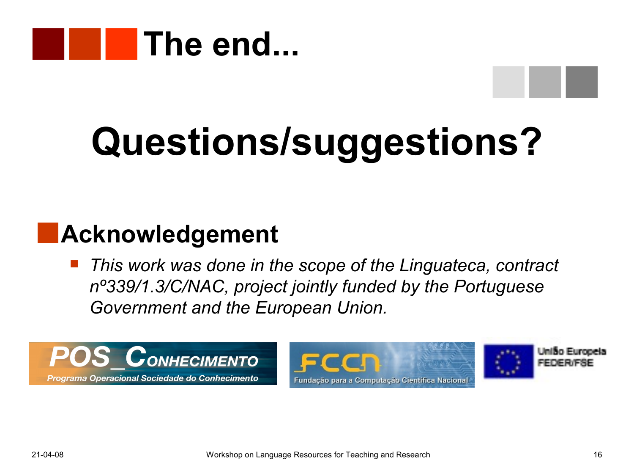

# **Questions/suggestions?**

#### **Acknowledgement**

 *This work was done in the scope of the Linguateca, contract nº339/1.3/C/NAC, project jointly funded by the Portuguese Government and the European Union.*